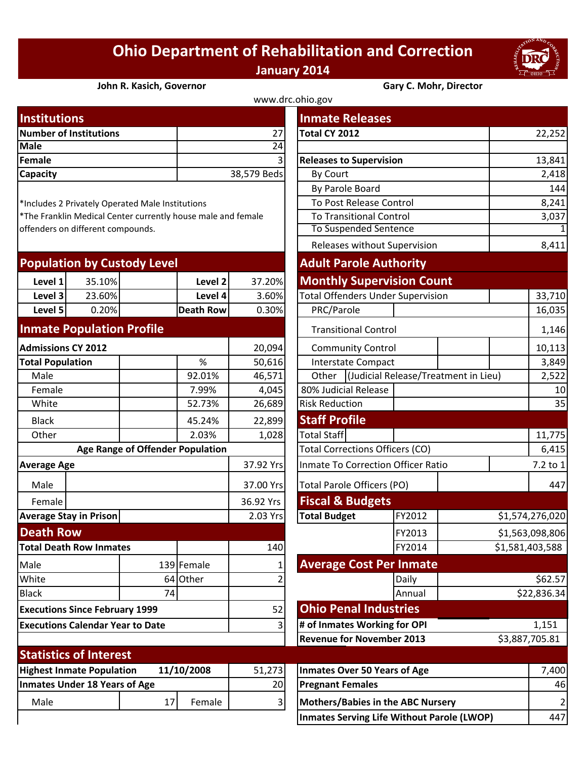## **Ohio Department of Rehabilitation and Correction January 2014**



## **John R. Kasich, Governor Gary C. Mohr, Director**

| www.drc.ohio.gov              |                |                                |        |  |  |  |
|-------------------------------|----------------|--------------------------------|--------|--|--|--|
| <b>Institutions</b>           |                | <b>Inmate Releases</b>         |        |  |  |  |
| <b>Number of Institutions</b> | 271            | Total CY 2012                  | 22,252 |  |  |  |
| Male                          | 24             |                                |        |  |  |  |
| Female                        | $\overline{3}$ | <b>Releases to Supervision</b> | 13,841 |  |  |  |
| <b>Capacity</b>               | 38,579 Beds    | By Court                       | 2,418  |  |  |  |
|                               |                |                                | .      |  |  |  |

| <b>Population by Custody Level</b> |        |           |        | <b>Adult Parole Authority</b>     |  |  |
|------------------------------------|--------|-----------|--------|-----------------------------------|--|--|
| Level 1                            | 35.10% | Level 2   | 37.20% | <b>Monthly Supervision Count</b>  |  |  |
| Level 3                            | 23.60% | Level 4   | 3.60%  | Total Offenders Under Supervision |  |  |
| Level 5                            | 0.20%  | Death Row | 0.30%  | PRC/Parole                        |  |  |
|                                    |        |           |        |                                   |  |  |

## **Inmate Population Profile**

| <b>Admissions CY 2012</b>                      |                               |                                  | 20,094     |                                     | <b>Community Control</b>                  |                                          |        |  |
|------------------------------------------------|-------------------------------|----------------------------------|------------|-------------------------------------|-------------------------------------------|------------------------------------------|--------|--|
| <b>Total Population</b>                        |                               |                                  | %          | 50,616                              | <b>Interstate Compact</b>                 |                                          |        |  |
| Male                                           |                               |                                  | 92.01%     | 46,571                              | Other                                     | <b>Judicial Release/Treatme</b>          |        |  |
| Female                                         |                               |                                  | 7.99%      | 4,045                               |                                           | 80% Judicial Release                     |        |  |
| White                                          |                               |                                  | 52.73%     | 26,689                              | <b>Risk Reduction</b>                     |                                          |        |  |
| <b>Black</b>                                   |                               |                                  | 45.24%     | 22,899                              | <b>Staff Profile</b>                      |                                          |        |  |
| Other                                          |                               |                                  | 2.03%      | 1,028                               | <b>Total Staff</b>                        |                                          |        |  |
|                                                |                               | Age Range of Offender Population |            |                                     | <b>Total Corrections Officers (CO)</b>    |                                          |        |  |
| <b>Average Age</b>                             |                               |                                  | 37.92 Yrs  |                                     | <b>Inmate To Correction Officer Ratio</b> |                                          |        |  |
| Male                                           |                               |                                  |            | 37.00 Yrs                           |                                           | Total Parole Officers (PO)               |        |  |
| Female                                         |                               |                                  |            | 36.92 Yrs                           |                                           | <b>Fiscal &amp; Budgets</b>              |        |  |
| <b>Average Stay in Prison</b>                  |                               |                                  | 2.03 Yrs   | <b>Total Budget</b>                 |                                           | FY2012                                   |        |  |
| <b>Death Row</b>                               |                               |                                  |            |                                     |                                           |                                          | FY2013 |  |
| <b>Total Death Row Inmates</b>                 |                               |                                  | 140        |                                     |                                           | FY2014                                   |        |  |
| Male                                           |                               |                                  | 139 Female |                                     |                                           | <b>Average Cost Per Inmate</b>           |        |  |
| White                                          |                               |                                  | 64 Other   | 2                                   |                                           |                                          | Daily  |  |
| <b>Black</b>                                   |                               | 74                               |            |                                     |                                           |                                          | Annual |  |
| <b>Executions Since February 1999</b>          |                               |                                  |            | 52                                  | <b>Ohio Penal Industries</b>              |                                          |        |  |
| <b>Executions Calendar Year to Date</b>        |                               |                                  | 3          |                                     | # of Inmates Working for OPI              |                                          |        |  |
|                                                |                               |                                  |            |                                     |                                           | <b>Revenue for November 2013</b>         |        |  |
|                                                | <b>Statistics of Interest</b> |                                  |            |                                     |                                           |                                          |        |  |
| <b>Highest Inmate Population</b><br>11/10/2008 |                               |                                  | 51,273     | <b>Inmates Over 50 Years of Age</b> |                                           |                                          |        |  |
| <b>Inmates Under 18 Years of Age</b>           |                               |                                  | 20         |                                     | <b>Pregnant Females</b>                   |                                          |        |  |
| Male                                           |                               | 17                               | Female     | 3                                   |                                           | <b>Mothers/Babies in the ABC Nursery</b> |        |  |
|                                                |                               |                                  |            |                                     |                                           |                                          |        |  |

| <b>Institutions</b>                          |        |                                                  |                                                              | <b>Inmate Releases</b>       |                                                   |                                      |        |                         |  |
|----------------------------------------------|--------|--------------------------------------------------|--------------------------------------------------------------|------------------------------|---------------------------------------------------|--------------------------------------|--------|-------------------------|--|
| <b>Number of Institutions</b>                |        |                                                  | 27                                                           | Total CY 2012                |                                                   |                                      | 22,252 |                         |  |
| Male                                         |        |                                                  |                                                              | 24                           |                                                   |                                      |        |                         |  |
| <b>Female</b>                                |        |                                                  |                                                              |                              | <b>Releases to Supervision</b>                    |                                      |        | 13,841                  |  |
| Capacity                                     |        |                                                  |                                                              | 38,579 Beds                  | <b>By Court</b>                                   |                                      |        | 2,418                   |  |
|                                              |        |                                                  |                                                              | By Parole Board              |                                                   |                                      | 144    |                         |  |
|                                              |        | *Includes 2 Privately Operated Male Institutions |                                                              |                              | To Post Release Control                           |                                      | 8,241  |                         |  |
|                                              |        |                                                  | *The Franklin Medical Center currently house male and female |                              | <b>To Transitional Control</b>                    |                                      |        | 3,037                   |  |
| offenders on different compounds.            |        |                                                  |                                                              | <b>To Suspended Sentence</b> |                                                   | $\mathbf{1}$                         |        |                         |  |
|                                              |        |                                                  |                                                              |                              | Releases without Supervision                      |                                      |        | 8,411                   |  |
|                                              |        | <b>Population by Custody Level</b>               |                                                              |                              | <b>Adult Parole Authority</b>                     |                                      |        |                         |  |
| Level 1                                      | 35.10% |                                                  | Level 2                                                      | 37.20%                       | <b>Monthly Supervision Count</b>                  |                                      |        |                         |  |
| Level 3                                      | 23.60% |                                                  | Level 4                                                      | 3.60%                        | <b>Total Offenders Under Supervision</b>          |                                      |        | 33,710                  |  |
| Level 5                                      | 0.20%  |                                                  | <b>Death Row</b>                                             | 0.30%                        | PRC/Parole                                        |                                      |        | 16,035                  |  |
| <b>Inmate Population Profile</b>             |        |                                                  |                                                              |                              | <b>Transitional Control</b>                       |                                      | 1,146  |                         |  |
| <b>Admissions CY 2012</b>                    |        |                                                  | 20,094                                                       | <b>Community Control</b>     |                                                   |                                      | 10,113 |                         |  |
| <b>Total Population</b>                      |        |                                                  | $\%$                                                         | 50,616                       | <b>Interstate Compact</b>                         |                                      |        | 3,849                   |  |
| Male                                         |        |                                                  | 92.01%                                                       | 46,571                       | Other                                             | (Judicial Release/Treatment in Lieu) |        | 2,522                   |  |
| Female                                       |        |                                                  | 7.99%                                                        | 4,045                        | 80% Judicial Release                              |                                      |        | 10                      |  |
| White                                        |        |                                                  | 52.73%                                                       | 26,689                       | <b>Risk Reduction</b>                             |                                      |        | 35                      |  |
| <b>Black</b>                                 |        |                                                  | 45.24%                                                       | 22,899                       | <b>Staff Profile</b>                              |                                      |        |                         |  |
| Other                                        |        |                                                  | 2.03%                                                        | 1,028                        | <b>Total Staff</b>                                |                                      |        | 11,775                  |  |
|                                              |        | <b>Age Range of Offender Population</b>          |                                                              |                              | <b>Total Corrections Officers (CO)</b>            |                                      |        | 6,415                   |  |
| <b>Average Age</b>                           |        |                                                  |                                                              | 37.92 Yrs                    | <b>Inmate To Correction Officer Ratio</b>         |                                      |        | 7.2 to 1                |  |
| Male                                         |        |                                                  |                                                              | 37.00 Yrs                    | <b>Total Parole Officers (PO)</b>                 |                                      |        | 447                     |  |
| Female                                       |        |                                                  |                                                              | 36.92 Yrs                    | <b>Fiscal &amp; Budgets</b>                       |                                      |        |                         |  |
| <b>Average Stay in Prison</b>                |        |                                                  |                                                              | 2.03 Yrs                     | <b>Total Budget</b>                               | FY2012                               |        | \$1,574,276,020         |  |
| <b>Death Row</b>                             |        |                                                  |                                                              |                              |                                                   | FY2013                               |        | \$1,563,098,806         |  |
| <b>Total Death Row Inmates</b>               |        |                                                  |                                                              | 140                          |                                                   | FY2014                               |        | \$1,581,403,588         |  |
| Male                                         |        |                                                  | 139 Female                                                   |                              | <b>Average Cost Per Inmate</b>                    |                                      |        |                         |  |
| White                                        |        | 64                                               | Other                                                        |                              |                                                   | Daily                                |        | \$62.57                 |  |
| <b>Black</b>                                 |        | 74                                               |                                                              |                              |                                                   | Annual                               |        | \$22,836.34             |  |
| <b>Executions Since February 1999</b>        |        |                                                  |                                                              | 52                           | <b>Ohio Penal Industries</b>                      |                                      |        |                         |  |
| <b>Executions Calendar Year to Date</b><br>3 |        |                                                  | # of Inmates Working for OPI                                 |                              |                                                   | 1,151                                |        |                         |  |
|                                              |        |                                                  |                                                              |                              | <b>Revenue for November 2013</b>                  |                                      |        | \$3,887,705.81          |  |
| <b>Statistics of Interest</b>                |        |                                                  |                                                              |                              |                                                   |                                      |        |                         |  |
| <b>Highest Inmate Population</b>             |        |                                                  | 11/10/2008                                                   | 51,273                       | <b>Inmates Over 50 Years of Age</b>               |                                      |        | 7,400                   |  |
| <b>Inmates Under 18 Years of Age</b>         |        |                                                  | 20                                                           | <b>Pregnant Females</b>      |                                                   |                                      | 46     |                         |  |
| Male                                         |        | 17                                               | Female                                                       | 31                           | <b>Mothers/Babies in the ABC Nursery</b>          |                                      |        | $\overline{\mathbf{c}}$ |  |
|                                              |        |                                                  |                                                              |                              | <b>Inmates Serving Life Without Parole (LWOP)</b> |                                      |        | 447                     |  |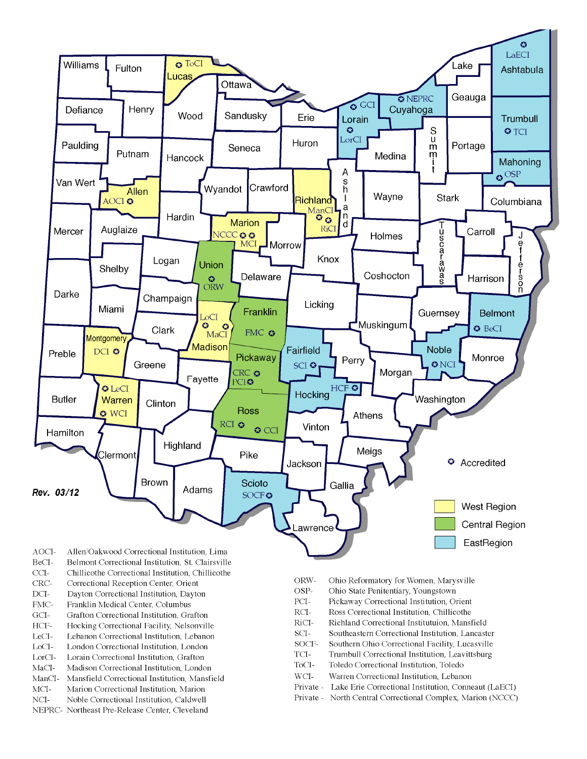

- BeCI-Belmont Correctional Institution, St. Clairsville
- $CCI-$ Chillicothe Correctional Institution, Chillicothe
- Correctional Reception Center, Orient CRC-
- $DCI-$ Dayton Correctional Institution, Dayton
- FMC-Franklin Medical Center, Columbus
- $\rm{GCI}\mbox{-}$ Grafton Correctional Institution, Grafton
- HCF-Hocking Correctional Facility, Nelsonville
- LeCI-Lebanon Correctional Institution, Lebanon
- LoCI-London Correctional Institution. London
- $\operatorname{LorCl-}$ Lorain Correctional Institution, Grafton
- $MaCI-$ Madison Correctional Institution, London
- ManCI-Mansfield Correctional Institution, Mansfield MCI-Marion Correctional Institution, Marion
- Noble Correctional Institution, Caldwell
- NCI-NEPRC- Northeast Pre-Release Center, Cleveland
- ORW-Ohio Reformatory for Women, Marysville
- OSP-Ohio State Penitentiary, Youngstown
- PCI-Pickaway Correctional Institution, Orient
- $\rm RCI-$ Ross Correctional Institution, Chillicothe
- RiCI-Richland Correctional Institutuion, Mansfield
- SCI-Southeastern Correctional Institution, Lancaster
- SOCF-Southern Ohio Correctional Facility, Lucasville
- TCI-Trumbull Correctional Institution, Leavittsburg
- ToCI-Toledo Correctional Institution, Toledo
- $WCI-$ Warren Correctional Institution, Lebanon
- Private Lake Erie Correctional Institution, Conneaut (LaECI)
- Private North Central Correctional Complex, Marion (NCCC)